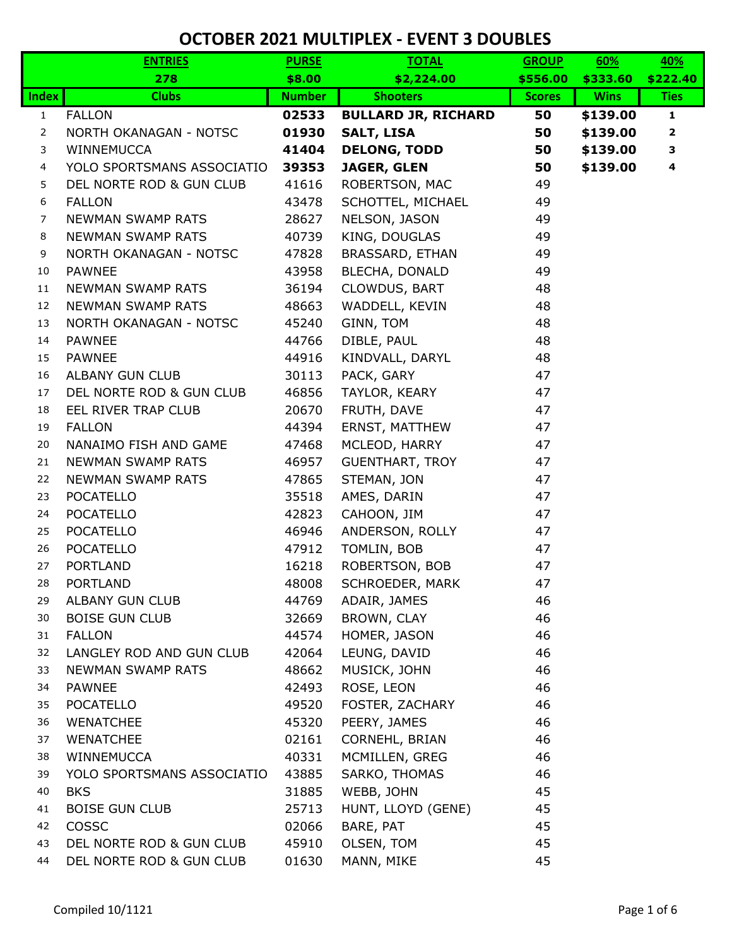|                | <b>ENTRIES</b>             | <b>PURSE</b>  | <b>TOTAL</b>               | <b>GROUP</b>  | 60%         | 40%          |
|----------------|----------------------------|---------------|----------------------------|---------------|-------------|--------------|
|                | 278                        | \$8.00        | \$2,224.00                 | \$556.00      | \$333.60    | \$222.40     |
| <b>Index</b>   | <b>Clubs</b>               | <b>Number</b> | <b>Shooters</b>            | <b>Scores</b> | <b>Wins</b> | <b>Ties</b>  |
| $\mathbf{1}$   | <b>FALLON</b>              | 02533         | <b>BULLARD JR, RICHARD</b> | 50            | \$139.00    | $\mathbf{1}$ |
| 2              | NORTH OKANAGAN - NOTSC     | 01930         | <b>SALT, LISA</b>          | 50            | \$139.00    | $\mathbf{2}$ |
| 3              | WINNEMUCCA                 | 41404         | <b>DELONG, TODD</b>        | 50            | \$139.00    | 3            |
| 4              | YOLO SPORTSMANS ASSOCIATIO | 39353         | <b>JAGER, GLEN</b>         | 50            | \$139.00    | 4            |
| 5              | DEL NORTE ROD & GUN CLUB   | 41616         | ROBERTSON, MAC             | 49            |             |              |
| 6              | <b>FALLON</b>              | 43478         | SCHOTTEL, MICHAEL          | 49            |             |              |
| $\overline{7}$ | NEWMAN SWAMP RATS          | 28627         | NELSON, JASON              | 49            |             |              |
| 8              | NEWMAN SWAMP RATS          | 40739         | KING, DOUGLAS              | 49            |             |              |
| 9              | NORTH OKANAGAN - NOTSC     | 47828         | BRASSARD, ETHAN            | 49            |             |              |
| 10             | <b>PAWNEE</b>              | 43958         | BLECHA, DONALD             | 49            |             |              |
| 11             | NEWMAN SWAMP RATS          | 36194         | CLOWDUS, BART              | 48            |             |              |
| 12             | <b>NEWMAN SWAMP RATS</b>   | 48663         | WADDELL, KEVIN             | 48            |             |              |
| 13             | NORTH OKANAGAN - NOTSC     | 45240         | GINN, TOM                  | 48            |             |              |
| 14             | <b>PAWNEE</b>              | 44766         | DIBLE, PAUL                | 48            |             |              |
| 15             | <b>PAWNEE</b>              | 44916         | KINDVALL, DARYL            | 48            |             |              |
| 16             | <b>ALBANY GUN CLUB</b>     | 30113         | PACK, GARY                 | 47            |             |              |
| 17             | DEL NORTE ROD & GUN CLUB   | 46856         | TAYLOR, KEARY              | 47            |             |              |
| 18             | EEL RIVER TRAP CLUB        | 20670         | FRUTH, DAVE                | 47            |             |              |
| 19             | <b>FALLON</b>              | 44394         | <b>ERNST, MATTHEW</b>      | 47            |             |              |
| 20             | NANAIMO FISH AND GAME      | 47468         | MCLEOD, HARRY              | 47            |             |              |
| 21             | NEWMAN SWAMP RATS          | 46957         | <b>GUENTHART, TROY</b>     | 47            |             |              |
| 22             | <b>NEWMAN SWAMP RATS</b>   | 47865         | STEMAN, JON                | 47            |             |              |
| 23             | <b>POCATELLO</b>           | 35518         | AMES, DARIN                | 47            |             |              |
| 24             | <b>POCATELLO</b>           | 42823         | CAHOON, JIM                | 47            |             |              |
| 25             | <b>POCATELLO</b>           | 46946         | ANDERSON, ROLLY            | 47            |             |              |
| 26             | <b>POCATELLO</b>           | 47912         | TOMLIN, BOB                | 47            |             |              |
| 27             | <b>PORTLAND</b>            | 16218         | ROBERTSON, BOB             | 47            |             |              |
| 28             | <b>PORTLAND</b>            | 48008         | <b>SCHROEDER, MARK</b>     | 47            |             |              |
| 29             | ALBANY GUN CLUB            | 44769         | ADAIR, JAMES               | 46            |             |              |
| 30             | <b>BOISE GUN CLUB</b>      | 32669         | BROWN, CLAY                | 46            |             |              |
| 31             | <b>FALLON</b>              | 44574         | HOMER, JASON               | 46            |             |              |
| 32             | LANGLEY ROD AND GUN CLUB   | 42064         | LEUNG, DAVID               | 46            |             |              |
| 33             | <b>NEWMAN SWAMP RATS</b>   | 48662         | MUSICK, JOHN               | 46            |             |              |
| 34             | PAWNEE                     | 42493         | ROSE, LEON                 | 46            |             |              |
| 35             | <b>POCATELLO</b>           | 49520         | FOSTER, ZACHARY            | 46            |             |              |
| 36             | <b>WENATCHEE</b>           | 45320         | PEERY, JAMES               | 46            |             |              |
| 37             | <b>WENATCHEE</b>           | 02161         | CORNEHL, BRIAN             | 46            |             |              |
| 38             | WINNEMUCCA                 | 40331         | MCMILLEN, GREG             | 46            |             |              |
| 39             | YOLO SPORTSMANS ASSOCIATIO | 43885         | SARKO, THOMAS              | 46            |             |              |
| 40             | <b>BKS</b>                 | 31885         | WEBB, JOHN                 | 45            |             |              |
| 41             | <b>BOISE GUN CLUB</b>      | 25713         | HUNT, LLOYD (GENE)         | 45            |             |              |
| 42             | COSSC                      | 02066         | BARE, PAT                  | 45            |             |              |
| 43             | DEL NORTE ROD & GUN CLUB   | 45910         | OLSEN, TOM                 | 45            |             |              |
| 44             | DEL NORTE ROD & GUN CLUB   | 01630         | MANN, MIKE                 | 45            |             |              |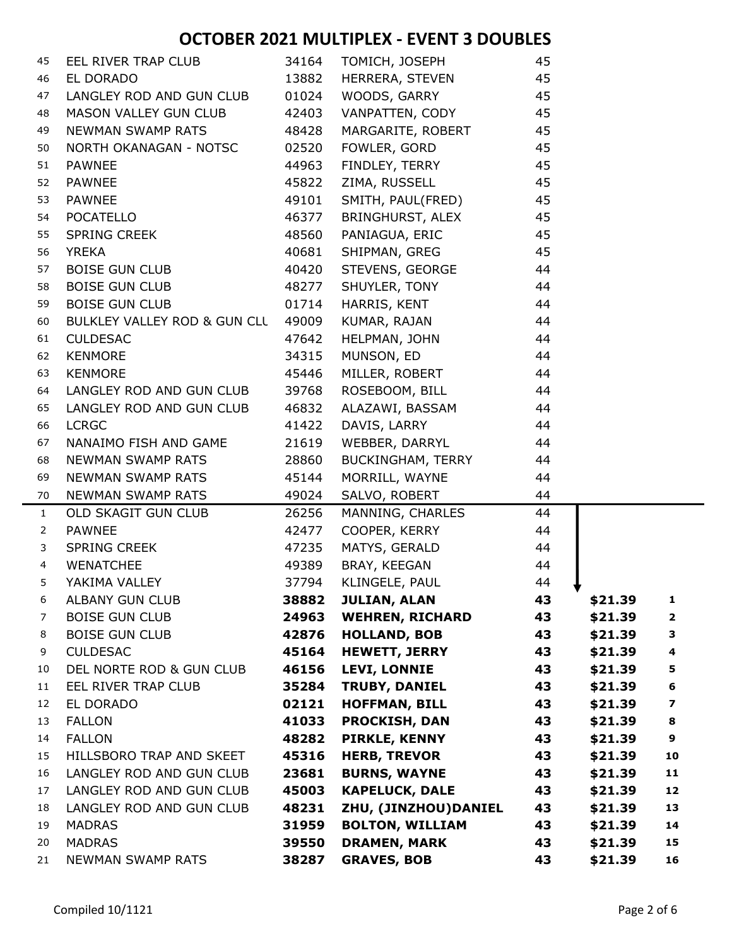| 45             | EEL RIVER TRAP CLUB                | 34164 | TOMICH, JOSEPH         | 45 |         |                         |
|----------------|------------------------------------|-------|------------------------|----|---------|-------------------------|
| 46             | EL DORADO                          | 13882 | HERRERA, STEVEN        | 45 |         |                         |
| 47             | LANGLEY ROD AND GUN CLUB           | 01024 | WOODS, GARRY           | 45 |         |                         |
| 48             | MASON VALLEY GUN CLUB              | 42403 | VANPATTEN, CODY        | 45 |         |                         |
| 49             | <b>NEWMAN SWAMP RATS</b>           | 48428 | MARGARITE, ROBERT      | 45 |         |                         |
| 50             | NORTH OKANAGAN - NOTSC             | 02520 | FOWLER, GORD           | 45 |         |                         |
| 51             | PAWNEE                             | 44963 | FINDLEY, TERRY         | 45 |         |                         |
| 52             | <b>PAWNEE</b>                      | 45822 | ZIMA, RUSSELL          | 45 |         |                         |
| 53             | <b>PAWNEE</b>                      | 49101 | SMITH, PAUL(FRED)      | 45 |         |                         |
| 54             | POCATELLO                          | 46377 | BRINGHURST, ALEX       | 45 |         |                         |
| 55             | SPRING CREEK                       | 48560 | PANIAGUA, ERIC         | 45 |         |                         |
| 56             | <b>YREKA</b>                       | 40681 | SHIPMAN, GREG          | 45 |         |                         |
| 57             | <b>BOISE GUN CLUB</b>              | 40420 | STEVENS, GEORGE        | 44 |         |                         |
| 58             | <b>BOISE GUN CLUB</b>              | 48277 | SHUYLER, TONY          | 44 |         |                         |
| 59             | <b>BOISE GUN CLUB</b>              | 01714 | HARRIS, KENT           | 44 |         |                         |
| 60             | BULKLEY VALLEY ROD & GUN CLL 49009 |       | KUMAR, RAJAN           | 44 |         |                         |
| 61             | <b>CULDESAC</b>                    | 47642 | HELPMAN, JOHN          | 44 |         |                         |
| 62             | <b>KENMORE</b>                     | 34315 | MUNSON, ED             | 44 |         |                         |
| 63             | <b>KENMORE</b>                     | 45446 | MILLER, ROBERT         | 44 |         |                         |
| 64             | LANGLEY ROD AND GUN CLUB           | 39768 | ROSEBOOM, BILL         | 44 |         |                         |
| 65             | LANGLEY ROD AND GUN CLUB           | 46832 | ALAZAWI, BASSAM        | 44 |         |                         |
| 66             | <b>LCRGC</b>                       | 41422 | DAVIS, LARRY           | 44 |         |                         |
| 67             | NANAIMO FISH AND GAME              | 21619 | WEBBER, DARRYL         | 44 |         |                         |
| 68             | <b>NEWMAN SWAMP RATS</b>           | 28860 | BUCKINGHAM, TERRY      | 44 |         |                         |
| 69             | NEWMAN SWAMP RATS                  | 45144 | MORRILL, WAYNE         | 44 |         |                         |
| 70             | NEWMAN SWAMP RATS                  | 49024 | SALVO, ROBERT          | 44 |         |                         |
| $\mathbf{1}$   | OLD SKAGIT GUN CLUB                | 26256 | MANNING, CHARLES       | 44 |         |                         |
| $\overline{2}$ | <b>PAWNEE</b>                      | 42477 | COOPER, KERRY          | 44 |         |                         |
| 3              | <b>SPRING CREEK</b>                | 47235 | MATYS, GERALD          | 44 |         |                         |
| $\overline{4}$ | <b>WENATCHEE</b>                   | 49389 | BRAY, KEEGAN           | 44 |         |                         |
| 5              | YAKIMA VALLEY                      | 37794 | KLINGELE, PAUL         | 44 |         |                         |
| 6              | ALBANY GUN CLUB                    | 38882 | <b>JULIAN, ALAN</b>    | 43 | \$21.39 | 1                       |
| 7              | <b>BOISE GUN CLUB</b>              | 24963 | <b>WEHREN, RICHARD</b> | 43 | \$21.39 | $\overline{\mathbf{2}}$ |
| 8              | <b>BOISE GUN CLUB</b>              | 42876 | <b>HOLLAND, BOB</b>    | 43 | \$21.39 | 3                       |
| 9              | <b>CULDESAC</b>                    | 45164 | <b>HEWETT, JERRY</b>   | 43 | \$21.39 | 4                       |
| 10             | DEL NORTE ROD & GUN CLUB           | 46156 | <b>LEVI, LONNIE</b>    | 43 | \$21.39 | 5                       |
| 11             | EEL RIVER TRAP CLUB                | 35284 | <b>TRUBY, DANIEL</b>   | 43 | \$21.39 | 6                       |
| 12             | EL DORADO                          | 02121 | <b>HOFFMAN, BILL</b>   | 43 | \$21.39 | 7                       |
| 13             | <b>FALLON</b>                      | 41033 | <b>PROCKISH, DAN</b>   | 43 | \$21.39 | 8                       |
| 14             | <b>FALLON</b>                      | 48282 | <b>PIRKLE, KENNY</b>   | 43 | \$21.39 | 9                       |
| 15             | HILLSBORO TRAP AND SKEET           | 45316 | <b>HERB, TREVOR</b>    | 43 | \$21.39 | 10                      |
| 16             | LANGLEY ROD AND GUN CLUB           | 23681 | <b>BURNS, WAYNE</b>    | 43 | \$21.39 | 11                      |
| 17             | LANGLEY ROD AND GUN CLUB           | 45003 | <b>KAPELUCK, DALE</b>  | 43 | \$21.39 | 12                      |
| 18             | LANGLEY ROD AND GUN CLUB           | 48231 | ZHU, (JINZHOU)DANIEL   | 43 | \$21.39 | 13                      |
| 19             | <b>MADRAS</b>                      | 31959 | <b>BOLTON, WILLIAM</b> | 43 | \$21.39 | 14                      |
| 20             | <b>MADRAS</b>                      | 39550 | <b>DRAMEN, MARK</b>    | 43 | \$21.39 | 15                      |
| 21             | <b>NEWMAN SWAMP RATS</b>           | 38287 | <b>GRAVES, BOB</b>     | 43 | \$21.39 | 16                      |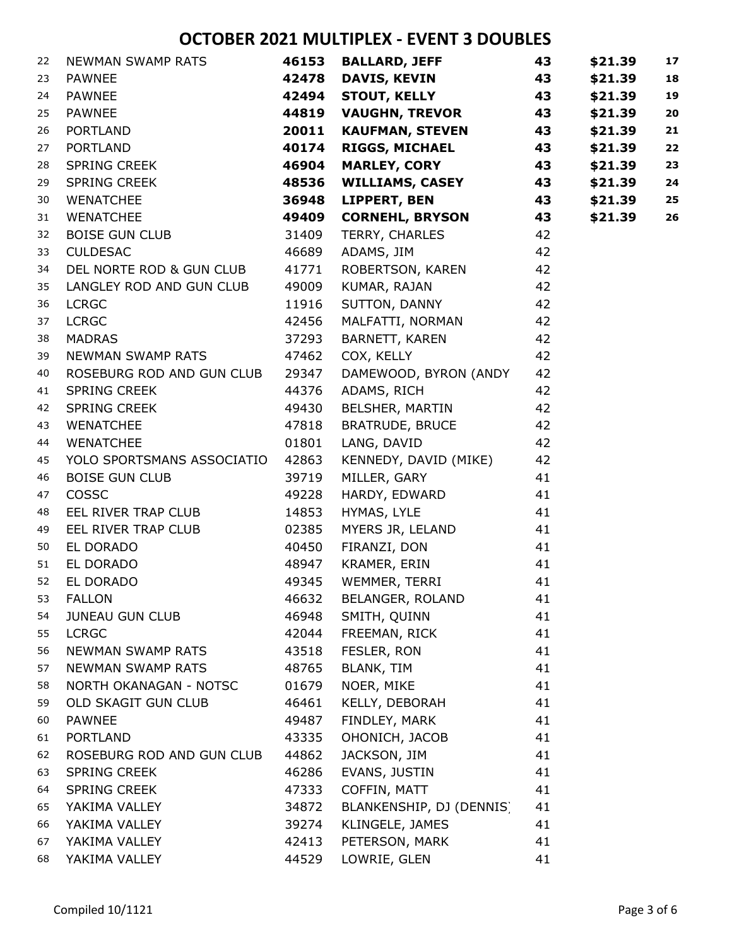| 22 | NEWMAN SWAMP RATS          | 46153 | <b>BALLARD, JEFF</b>     | 43 | \$21.39 | 17 |
|----|----------------------------|-------|--------------------------|----|---------|----|
| 23 | <b>PAWNEE</b>              | 42478 | <b>DAVIS, KEVIN</b>      | 43 | \$21.39 | 18 |
| 24 | <b>PAWNEE</b>              | 42494 | <b>STOUT, KELLY</b>      | 43 | \$21.39 | 19 |
| 25 | <b>PAWNEE</b>              | 44819 | <b>VAUGHN, TREVOR</b>    | 43 | \$21.39 | 20 |
| 26 | PORTLAND                   | 20011 | <b>KAUFMAN, STEVEN</b>   | 43 | \$21.39 | 21 |
| 27 | <b>PORTLAND</b>            | 40174 | <b>RIGGS, MICHAEL</b>    | 43 | \$21.39 | 22 |
| 28 | SPRING CREEK               | 46904 | <b>MARLEY, CORY</b>      | 43 | \$21.39 | 23 |
| 29 | SPRING CREEK               | 48536 | <b>WILLIAMS, CASEY</b>   | 43 | \$21.39 | 24 |
| 30 | <b>WENATCHEE</b>           | 36948 | <b>LIPPERT, BEN</b>      | 43 | \$21.39 | 25 |
| 31 | WENATCHEE                  | 49409 | <b>CORNEHL, BRYSON</b>   | 43 | \$21.39 | 26 |
| 32 | <b>BOISE GUN CLUB</b>      | 31409 | TERRY, CHARLES           | 42 |         |    |
| 33 | <b>CULDESAC</b>            | 46689 | ADAMS, JIM               | 42 |         |    |
| 34 | DEL NORTE ROD & GUN CLUB   | 41771 | ROBERTSON, KAREN         | 42 |         |    |
| 35 | LANGLEY ROD AND GUN CLUB   | 49009 | KUMAR, RAJAN             | 42 |         |    |
| 36 | <b>LCRGC</b>               | 11916 | SUTTON, DANNY            | 42 |         |    |
| 37 | <b>LCRGC</b>               | 42456 | MALFATTI, NORMAN         | 42 |         |    |
| 38 | <b>MADRAS</b>              | 37293 | BARNETT, KAREN           | 42 |         |    |
| 39 | NEWMAN SWAMP RATS          | 47462 | COX, KELLY               | 42 |         |    |
| 40 | ROSEBURG ROD AND GUN CLUB  | 29347 | DAMEWOOD, BYRON (ANDY    | 42 |         |    |
| 41 | SPRING CREEK               | 44376 | ADAMS, RICH              | 42 |         |    |
| 42 | SPRING CREEK               | 49430 | BELSHER, MARTIN          | 42 |         |    |
| 43 | WENATCHEE                  | 47818 | <b>BRATRUDE, BRUCE</b>   | 42 |         |    |
| 44 | <b>WENATCHEE</b>           | 01801 | LANG, DAVID              | 42 |         |    |
| 45 | YOLO SPORTSMANS ASSOCIATIO | 42863 | KENNEDY, DAVID (MIKE)    | 42 |         |    |
| 46 | <b>BOISE GUN CLUB</b>      | 39719 | MILLER, GARY             | 41 |         |    |
| 47 | <b>COSSC</b>               | 49228 | HARDY, EDWARD            | 41 |         |    |
| 48 | EEL RIVER TRAP CLUB        | 14853 | HYMAS, LYLE              | 41 |         |    |
| 49 | EEL RIVER TRAP CLUB        | 02385 | MYERS JR, LELAND         | 41 |         |    |
| 50 | EL DORADO                  | 40450 | FIRANZI, DON             | 41 |         |    |
| 51 | EL DORADO                  | 48947 | KRAMER, ERIN             | 41 |         |    |
| 52 | EL DORADO                  | 49345 | WEMMER, TERRI            | 41 |         |    |
| 53 | <b>FALLON</b>              | 46632 | BELANGER, ROLAND         | 41 |         |    |
| 54 | <b>JUNEAU GUN CLUB</b>     | 46948 | SMITH, QUINN             | 41 |         |    |
| 55 | <b>LCRGC</b>               | 42044 | FREEMAN, RICK            | 41 |         |    |
| 56 | NEWMAN SWAMP RATS          | 43518 | FESLER, RON              | 41 |         |    |
| 57 | NEWMAN SWAMP RATS          | 48765 | <b>BLANK, TIM</b>        | 41 |         |    |
| 58 | NORTH OKANAGAN - NOTSC     | 01679 | NOER, MIKE               | 41 |         |    |
| 59 | OLD SKAGIT GUN CLUB        | 46461 | KELLY, DEBORAH           | 41 |         |    |
| 60 | <b>PAWNEE</b>              | 49487 | FINDLEY, MARK            | 41 |         |    |
| 61 | <b>PORTLAND</b>            | 43335 | OHONICH, JACOB           | 41 |         |    |
| 62 | ROSEBURG ROD AND GUN CLUB  | 44862 | JACKSON, JIM             | 41 |         |    |
| 63 | <b>SPRING CREEK</b>        | 46286 | EVANS, JUSTIN            | 41 |         |    |
| 64 | <b>SPRING CREEK</b>        | 47333 | COFFIN, MATT             | 41 |         |    |
| 65 | YAKIMA VALLEY              | 34872 | BLANKENSHIP, DJ (DENNIS) | 41 |         |    |
| 66 | YAKIMA VALLEY              | 39274 | KLINGELE, JAMES          | 41 |         |    |
| 67 | YAKIMA VALLEY              | 42413 | PETERSON, MARK           | 41 |         |    |
| 68 | YAKIMA VALLEY              | 44529 | LOWRIE, GLEN             | 41 |         |    |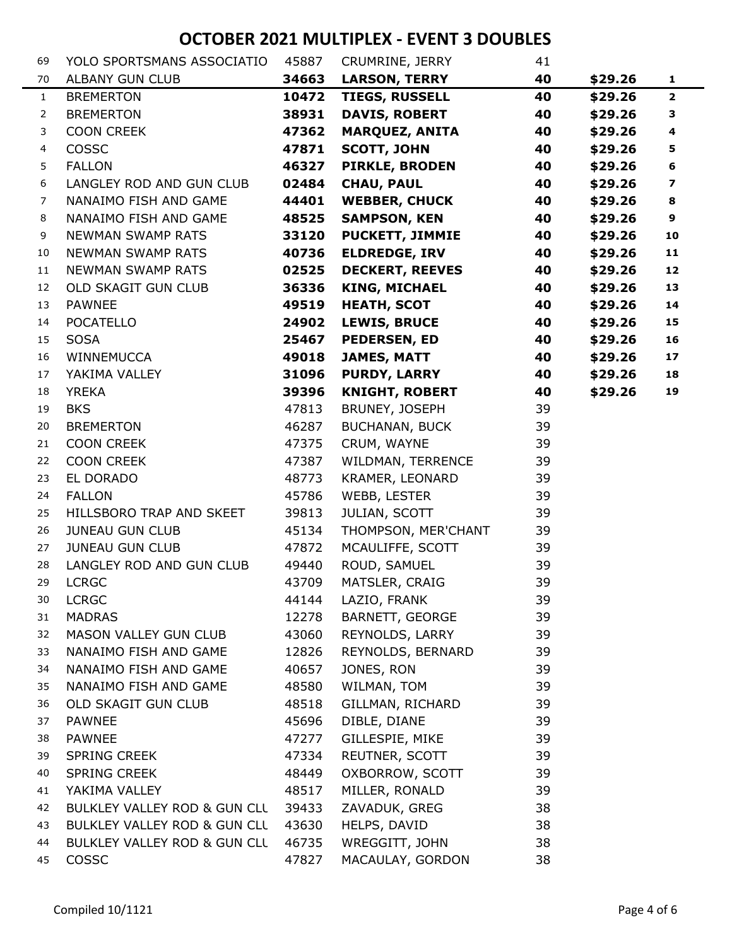| 69           | YOLO SPORTSMANS ASSOCIATIO   | 45887 | CRUMRINE, JERRY        | 41 |         |                         |
|--------------|------------------------------|-------|------------------------|----|---------|-------------------------|
| 70           | <b>ALBANY GUN CLUB</b>       | 34663 | <b>LARSON, TERRY</b>   | 40 | \$29.26 | $\mathbf{1}$            |
| $\mathbf{1}$ | <b>BREMERTON</b>             | 10472 | <b>TIEGS, RUSSELL</b>  | 40 | \$29.26 | $\overline{2}$          |
| 2            | <b>BREMERTON</b>             | 38931 | <b>DAVIS, ROBERT</b>   | 40 | \$29.26 | 3                       |
| 3            | <b>COON CREEK</b>            | 47362 | <b>MARQUEZ, ANITA</b>  | 40 | \$29.26 | $\overline{\mathbf{4}}$ |
| 4            | COSSC                        | 47871 | <b>SCOTT, JOHN</b>     | 40 | \$29.26 | 5                       |
| 5            | <b>FALLON</b>                | 46327 | <b>PIRKLE, BRODEN</b>  | 40 | \$29.26 | 6                       |
| 6            | LANGLEY ROD AND GUN CLUB     | 02484 | <b>CHAU, PAUL</b>      | 40 | \$29.26 | $\overline{\mathbf{z}}$ |
| 7            | NANAIMO FISH AND GAME        | 44401 | <b>WEBBER, CHUCK</b>   | 40 | \$29.26 | 8                       |
| 8            | NANAIMO FISH AND GAME        | 48525 | <b>SAMPSON, KEN</b>    | 40 | \$29.26 | 9                       |
| 9            | <b>NEWMAN SWAMP RATS</b>     | 33120 | <b>PUCKETT, JIMMIE</b> | 40 | \$29.26 | 10                      |
| 10           | NEWMAN SWAMP RATS            | 40736 | <b>ELDREDGE, IRV</b>   | 40 | \$29.26 | 11                      |
| 11           | <b>NEWMAN SWAMP RATS</b>     | 02525 | <b>DECKERT, REEVES</b> | 40 | \$29.26 | 12                      |
| 12           | OLD SKAGIT GUN CLUB          | 36336 | <b>KING, MICHAEL</b>   | 40 | \$29.26 | 13                      |
| 13           | <b>PAWNEE</b>                | 49519 | <b>HEATH, SCOT</b>     | 40 | \$29.26 | 14                      |
| 14           | <b>POCATELLO</b>             | 24902 | <b>LEWIS, BRUCE</b>    | 40 | \$29.26 | 15                      |
| 15           | <b>SOSA</b>                  | 25467 | <b>PEDERSEN, ED</b>    | 40 | \$29.26 | 16                      |
| 16           | WINNEMUCCA                   | 49018 | <b>JAMES, MATT</b>     | 40 | \$29.26 | 17                      |
| 17           | YAKIMA VALLEY                | 31096 | <b>PURDY, LARRY</b>    | 40 | \$29.26 | 18                      |
| 18           | <b>YREKA</b>                 | 39396 | <b>KNIGHT, ROBERT</b>  | 40 | \$29.26 | 19                      |
| 19           | <b>BKS</b>                   | 47813 | BRUNEY, JOSEPH         | 39 |         |                         |
| 20           | <b>BREMERTON</b>             | 46287 | <b>BUCHANAN, BUCK</b>  | 39 |         |                         |
| 21           | <b>COON CREEK</b>            | 47375 | CRUM, WAYNE            | 39 |         |                         |
| 22           | <b>COON CREEK</b>            | 47387 | WILDMAN, TERRENCE      | 39 |         |                         |
| 23           | EL DORADO                    | 48773 | KRAMER, LEONARD        | 39 |         |                         |
| 24           | <b>FALLON</b>                | 45786 | WEBB, LESTER           | 39 |         |                         |
| 25           | HILLSBORO TRAP AND SKEET     | 39813 | JULIAN, SCOTT          | 39 |         |                         |
| 26           | <b>JUNEAU GUN CLUB</b>       | 45134 | THOMPSON, MER'CHANT    | 39 |         |                         |
| 27           | <b>JUNEAU GUN CLUB</b>       | 47872 | MCAULIFFE, SCOTT       | 39 |         |                         |
| 28           | LANGLEY ROD AND GUN CLUB     | 49440 | ROUD, SAMUEL           | 39 |         |                         |
| 29           | <b>LCRGC</b>                 | 43709 | MATSLER, CRAIG         | 39 |         |                         |
| 30           | <b>LCRGC</b>                 | 44144 | LAZIO, FRANK           | 39 |         |                         |
| 31           | <b>MADRAS</b>                | 12278 | BARNETT, GEORGE        | 39 |         |                         |
| 32           | MASON VALLEY GUN CLUB        | 43060 | REYNOLDS, LARRY        | 39 |         |                         |
| 33           | NANAIMO FISH AND GAME        | 12826 | REYNOLDS, BERNARD      | 39 |         |                         |
| 34           | NANAIMO FISH AND GAME        | 40657 | JONES, RON             | 39 |         |                         |
| 35           | NANAIMO FISH AND GAME        | 48580 | WILMAN, TOM            | 39 |         |                         |
| 36           | OLD SKAGIT GUN CLUB          | 48518 | GILLMAN, RICHARD       | 39 |         |                         |
| 37           | <b>PAWNEE</b>                | 45696 | DIBLE, DIANE           | 39 |         |                         |
| 38           | <b>PAWNEE</b>                | 47277 | GILLESPIE, MIKE        | 39 |         |                         |
| 39           | <b>SPRING CREEK</b>          | 47334 | REUTNER, SCOTT         | 39 |         |                         |
| 40           | <b>SPRING CREEK</b>          | 48449 | OXBORROW, SCOTT        | 39 |         |                         |
| 41           | YAKIMA VALLEY                | 48517 | MILLER, RONALD         | 39 |         |                         |
| 42           | BULKLEY VALLEY ROD & GUN CLL | 39433 | ZAVADUK, GREG          | 38 |         |                         |
| 43           | BULKLEY VALLEY ROD & GUN CLL | 43630 | HELPS, DAVID           | 38 |         |                         |
| 44           | BULKLEY VALLEY ROD & GUN CLL | 46735 | WREGGITT, JOHN         | 38 |         |                         |
| 45           | <b>COSSC</b>                 | 47827 | MACAULAY, GORDON       | 38 |         |                         |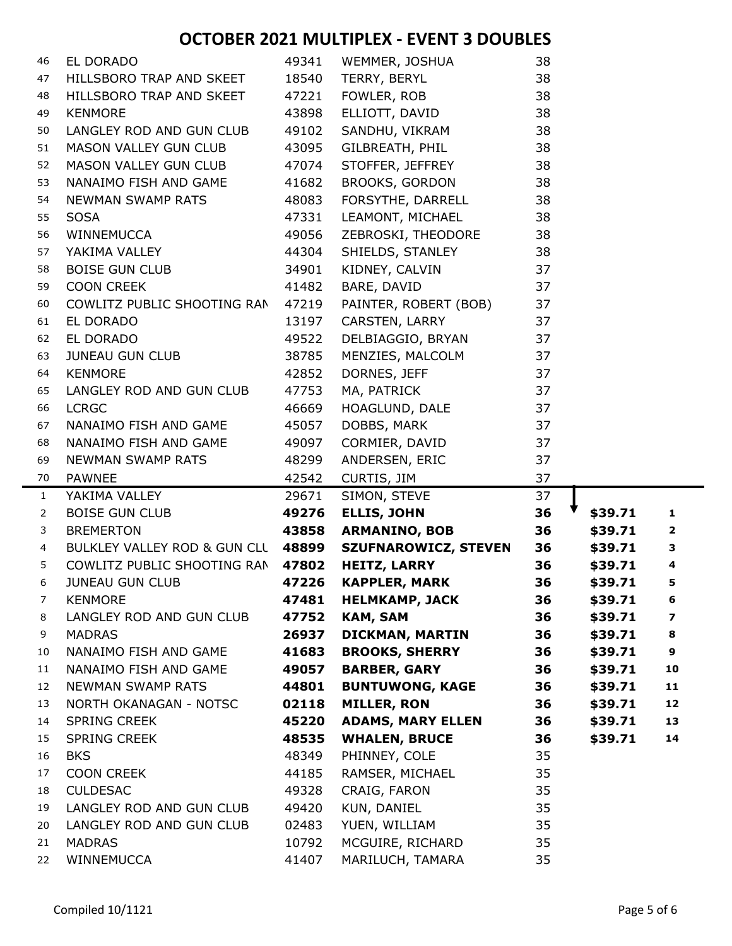| 46             | EL DORADO                          | 49341          | WEMMER, JOSHUA                       | 38       |         |                         |
|----------------|------------------------------------|----------------|--------------------------------------|----------|---------|-------------------------|
| 47             | HILLSBORO TRAP AND SKEET           | 18540          | TERRY, BERYL                         | 38       |         |                         |
| 48             | HILLSBORO TRAP AND SKEET           | 47221          | FOWLER, ROB                          | 38       |         |                         |
| 49             | <b>KENMORE</b>                     | 43898          | ELLIOTT, DAVID                       | 38       |         |                         |
| 50             | LANGLEY ROD AND GUN CLUB           | 49102          | SANDHU, VIKRAM                       | 38       |         |                         |
| 51             | MASON VALLEY GUN CLUB              | 43095          | GILBREATH, PHIL                      | 38       |         |                         |
| 52             | MASON VALLEY GUN CLUB              | 47074          | STOFFER, JEFFREY                     | 38       |         |                         |
| 53             | NANAIMO FISH AND GAME              | 41682          | BROOKS, GORDON                       | 38       |         |                         |
| 54             | <b>NEWMAN SWAMP RATS</b>           | 48083          | FORSYTHE, DARRELL                    | 38       |         |                         |
| 55             | <b>SOSA</b>                        | 47331          | LEAMONT, MICHAEL                     | 38       |         |                         |
| 56             | WINNEMUCCA                         | 49056          | ZEBROSKI, THEODORE                   | 38       |         |                         |
| 57             | YAKIMA VALLEY                      | 44304          | SHIELDS, STANLEY                     | 38       |         |                         |
| 58             | <b>BOISE GUN CLUB</b>              | 34901          | KIDNEY, CALVIN                       | 37       |         |                         |
| 59             | <b>COON CREEK</b>                  | 41482          | BARE, DAVID                          | 37       |         |                         |
| 60             | COWLITZ PUBLIC SHOOTING RAN        | 47219          | PAINTER, ROBERT (BOB)                | 37       |         |                         |
| 61             | EL DORADO                          | 13197          | CARSTEN, LARRY                       | 37       |         |                         |
| 62             | EL DORADO                          | 49522          | DELBIAGGIO, BRYAN                    | 37       |         |                         |
| 63             | JUNEAU GUN CLUB                    | 38785          | MENZIES, MALCOLM                     | 37       |         |                         |
| 64             | <b>KENMORE</b>                     | 42852          | DORNES, JEFF                         | 37       |         |                         |
| 65             | LANGLEY ROD AND GUN CLUB           | 47753          | MA, PATRICK                          | 37       |         |                         |
| 66             | <b>LCRGC</b>                       | 46669          | HOAGLUND, DALE                       | 37       |         |                         |
| 67             | NANAIMO FISH AND GAME              | 45057          | DOBBS, MARK                          | 37       |         |                         |
| 68             | NANAIMO FISH AND GAME              | 49097          | CORMIER, DAVID                       | 37       |         |                         |
| 69             | NEWMAN SWAMP RATS                  | 48299          | ANDERSEN, ERIC                       | 37       |         |                         |
| 70             | <b>PAWNEE</b>                      | 42542          | CURTIS, JIM                          | 37       |         |                         |
| $\mathbf{1}$   | YAKIMA VALLEY                      | 29671          | SIMON, STEVE                         | 37       |         |                         |
| $\overline{2}$ | <b>BOISE GUN CLUB</b>              | 49276          | <b>ELLIS, JOHN</b>                   | 36       | \$39.71 | 1                       |
| 3              | <b>BREMERTON</b>                   | 43858          | <b>ARMANINO, BOB</b>                 | 36       | \$39.71 | $\overline{\mathbf{2}}$ |
| 4              | BULKLEY VALLEY ROD & GUN CLL 48899 |                | <b>SZUFNAROWICZ, STEVEN</b>          | 36       | \$39.71 | 3                       |
| 5              | COWLITZ PUBLIC SHOOTING RAN 47802  |                | <b>HEITZ, LARRY</b>                  | 36       | \$39.71 | $\overline{\mathbf{4}}$ |
| 6              | <b>JUNEAU GUN CLUB</b>             | 47226          | <b>KAPPLER, MARK</b>                 | 36       | \$39.71 | 5                       |
| 7              | <b>KENMORE</b>                     | 47481          | <b>HELMKAMP, JACK</b>                | 36       | \$39.71 | 6                       |
| 8              | LANGLEY ROD AND GUN CLUB           | 47752          | <b>KAM, SAM</b>                      | 36       | \$39.71 | 7                       |
| 9              | <b>MADRAS</b>                      | 26937          | <b>DICKMAN, MARTIN</b>               | 36       | \$39.71 | 8                       |
| 10             | NANAIMO FISH AND GAME              | 41683          | <b>BROOKS, SHERRY</b>                | 36       | \$39.71 | 9                       |
| 11             | NANAIMO FISH AND GAME              | 49057          | <b>BARBER, GARY</b>                  | 36       | \$39.71 | 10                      |
| 12             | NEWMAN SWAMP RATS                  | 44801          | <b>BUNTUWONG, KAGE</b>               | 36       | \$39.71 | 11                      |
| 13             | NORTH OKANAGAN - NOTSC             | 02118          | <b>MILLER, RON</b>                   | 36       | \$39.71 | 12                      |
| 14             | <b>SPRING CREEK</b>                | 45220          | <b>ADAMS, MARY ELLEN</b>             | 36       | \$39.71 | 13                      |
| 15             | <b>SPRING CREEK</b>                | 48535          | <b>WHALEN, BRUCE</b>                 | 36       | \$39.71 | 14                      |
| 16             | <b>BKS</b>                         | 48349          | PHINNEY, COLE                        | 35       |         |                         |
| 17             | <b>COON CREEK</b>                  | 44185          | RAMSER, MICHAEL                      | 35       |         |                         |
| 18             | <b>CULDESAC</b>                    | 49328          | CRAIG, FARON                         | 35       |         |                         |
| 19             | LANGLEY ROD AND GUN CLUB           | 49420          | KUN, DANIEL                          | 35       |         |                         |
| 20             | LANGLEY ROD AND GUN CLUB           | 02483          | YUEN, WILLIAM                        | 35       |         |                         |
| 21             |                                    |                |                                      |          |         |                         |
| 22             | <b>MADRAS</b><br>WINNEMUCCA        | 10792<br>41407 | MCGUIRE, RICHARD<br>MARILUCH, TAMARA | 35<br>35 |         |                         |